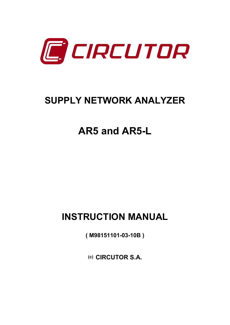

# **SUPPLY NETWORK ANALYZER**

# **AR5 and AR5-L**

# **INSTRUCTION MANUAL**

**( M98151101-03-10B )** 

**(c) CIRCUTOR S.A.**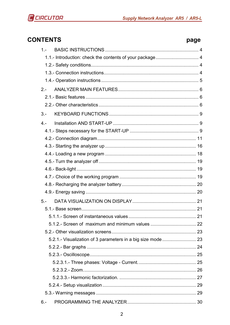

# **CONTENTS**

# page

| $1 -$                                                       |
|-------------------------------------------------------------|
|                                                             |
|                                                             |
|                                                             |
|                                                             |
| $2 -$                                                       |
|                                                             |
|                                                             |
| $3 -$                                                       |
| $4 -$                                                       |
|                                                             |
|                                                             |
|                                                             |
|                                                             |
|                                                             |
|                                                             |
|                                                             |
|                                                             |
|                                                             |
| $5 -$                                                       |
|                                                             |
|                                                             |
|                                                             |
|                                                             |
| 5.2.1.- Visualization of 3 parameters in a big size mode 23 |
|                                                             |
|                                                             |
|                                                             |
|                                                             |
|                                                             |
|                                                             |
|                                                             |
| $6 -$                                                       |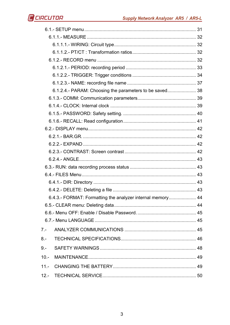|         | 6.1.2.4.- PARAM: Choosing the parameters to be saved 38    |  |
|---------|------------------------------------------------------------|--|
|         |                                                            |  |
|         |                                                            |  |
|         |                                                            |  |
|         |                                                            |  |
|         |                                                            |  |
|         |                                                            |  |
|         |                                                            |  |
|         |                                                            |  |
|         |                                                            |  |
|         |                                                            |  |
|         |                                                            |  |
|         |                                                            |  |
|         |                                                            |  |
|         | 6.4.3.- FORMAT: Formatting the analyzer internal memory 44 |  |
|         |                                                            |  |
|         |                                                            |  |
|         |                                                            |  |
| $7 -$   |                                                            |  |
| $8 -$   |                                                            |  |
| $9 -$   |                                                            |  |
| $10. -$ |                                                            |  |
| $11 -$  |                                                            |  |
|         |                                                            |  |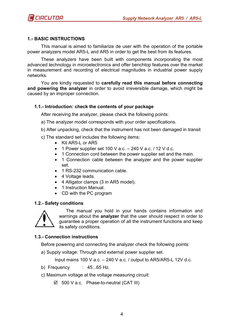# **1.- BASIC INSTRUCTIONS**

This manual is aimed to familiarize de user with the operation of the portable power analyzers model AR5-L and AR5 in order to get the best from its features.

These analyzers have been built with components incorporating the most advanced technology in microelectronics and offer benchtop features over the market in measurement and recording of electrical magnitudes in industrial power supply networks.

You are kindly requested to **carefully read this manual before connecting and powering the analyzer** in order to avoid irreversible damage, which might be caused by an improper connection.

#### **1.1.- Introduction: check the contents of your package**

After receiving the analyzer, please check the following points:

- a) The analyzer model corresponds with your order specifications.
- b) After unpacking, check that the instrument has not been damaged in transit.
- c) The standard set includes the following items:
	- Kit AR5-L or AR5
	- 1 Power supplier set 100 V a.c.  $-$  240 V a.c.  $/$  12 V d.c.
	- 1 Connection cord between the power supplier set and the main.
	- 1 Connection cable between the analyzer and the power supplier set.
	- 1 RS-232 communication cable.
	- 4 Voltage leads.
	- 4 Alligator clamps (3 in AR5 model).
	- 1 Instruction Manual.
	- CD with the PC program

#### **1.2.- Safety conditions**



The manual you hold in your hands contains information and warnings about the **analyzer** that the user should respect in order to guarantee a proper operation of all the instrument functions and keep its safety conditions.

#### **1.3.- Connection instructions**

Before powering and connecting the analyzer check the following points:

a) Supply voltage: Through and external power supplier set.

Input mains 100 V a.c. – 240 V a.c. / output to AR5/AR5-L 12V d.c.

- b) Frequency : 45...65 Hz.
- c) Maximum voltage at the voltage measuring circuit:
	- 500 V a.c. Phase-to-neutral (CAT III)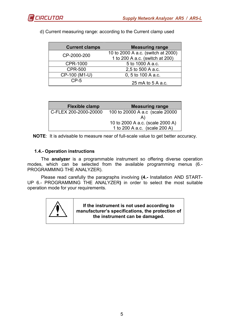

| <b>Current clamps</b> | <b>Measuring range</b>             |
|-----------------------|------------------------------------|
| CP-2000-200           | 10 to 2000 A a.c. (switch at 2000) |
|                       | 1 to 200 A a.c. (switch at 200)    |
| <b>CPR-1000</b>       | 5 to 1000 A a.c.                   |
| <b>CPR-500</b>        | 2,5 to 500 A a.c.                  |
| CP-100 (M1-U)         | 0, 5 to 100 A a.c.                 |
| $CP-5$                | 25 mA to 5 A a.c.                  |

d) Current measuring range: according to the Current clamp used

| <b>Flexible clamp</b> | <b>Measuring range</b>           |
|-----------------------|----------------------------------|
| C-FLEX 200-2000-20000 | 100 to 20000 A a.c (scale 20000  |
|                       | A)                               |
|                       | 10 to 2000 A a.c. (scale 2000 A) |
|                       | 1 to 200 A a.c. (scale 200 A)    |

**NOTE**: It is advisable to measure near of full-scale value to get better accuracy.

# **1.4.- Operation instructions**

The **analyzer** is a programmable instrument so offering diverse operation modes, which can be selected from the available programming menus (6.- PROGRAMMING THE ANALYZER).

Please read carefully the paragraphs involving **(4.-** Installation AND START-UP 6.- PROGRAMMING THE ANALYZER**)** in order to select the most suitable operation mode for your requirements.



**If the instrument is not used according to manufacturer's specifications, the protection of the instrument can be damaged.**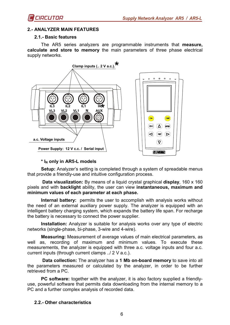# **2.- ANALYZER MAIN FEATURES**

#### **2.1.- Basic features**

The AR5 series analyzers are programmable instruments that **measure, calculate and store to memory** the main parameters of three phase electrical supply networks.



#### **\* IN only in AR5-L models**

**Setup:** Analyzer's setting is completed through a system of spreadable menus that provide a friendly-use and intuitive configuration process.

 **Data visualization:** By means of a liquid crystal graphical **display**, 160 x 160 pixels and with **backlight** ability, the user can view **instantaneous, maximum and minimum values of each parameter at each phase.** 

**Internal battery:** permits the user to accomplish with analysis works without the need of an external auxiliary power supply. The analyzer is equipped with an intelligent battery charging system, which expands the battery life span. For recharge the battery is necessary to connect the power supplier.

**Installation:** Analyzer is suitable for analysis works over any type of electric networks (single-phase, bi-phase, 3-wire and 4-wire).

**Measuring:** Measurement of average values of main electrical parameters, as well as, recording of maximum and minimum values. To execute these measurements, the analyzer is equipped with three a.c. voltage inputs and four a.c. current inputs (through current clamps ../ 2 V a.c.).

**Data collection:** The analyzer has a **1 Mb on-board memory** to save into all the parameters measured or calculated by the analyzer, in order to be further retrieved from a PC.

**PC software:** together with the analyzer, it is also factory supplied a friendlyuse, powerful software that permits data downloading from the internal memory to a PC and a further complex analysis of recorded data.

# **2.2.- Other characteristics**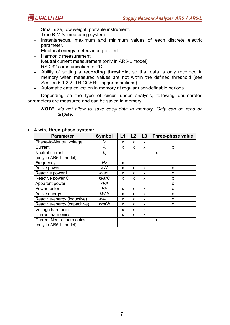

- Small size, low weight, portable instrument.
- True R.M.S. measuring system.
- Instantaneous, maximum and minimum values of each discrete electric parameter**.**
- Electrical energy meters incorporated
- Harmonic measurement
- Neutral current measurement (only in AR5-L model)
- RS-232 communication to PC
- Ability of setting a **recording threshold**, so that data is only recorded in memory when measured values are not within the defined threshold (see Section 6.1.2.2.-TRIGGER: Trigger conditions).
- Automatic data collection in memory at regular user-definable periods.

Depending on the type of circuit under analysis, following enumerated parameters are measured and can be saved in memory:

*NOTE:* It's not allow to save cos<sub> $\varphi$ </sub> data in memory. Only can be read on *display.*

| <b>Parameter</b>                                          | <b>Symbol</b> | L1 | L2 | L3 | Three-phase value |
|-----------------------------------------------------------|---------------|----|----|----|-------------------|
| Phase-to-Neutral voltage                                  | V             | X  | x  | X  |                   |
| Current                                                   | A             | X  | x  | X  | X                 |
| Neutral current<br>(only in AR5-L model)                  | $I_N$         | X  |    |    |                   |
| Frequency                                                 | Hz            | x  |    |    |                   |
| Active power                                              | kW            | x  | x  | X  | x                 |
| Reactive power L                                          | kvarL         | X  | x  | X  | x                 |
| Reactive power C                                          | kvarC         | X  | X  | X  | X                 |
| Apparent power                                            | <b>kVA</b>    |    |    |    | X                 |
| Power factor                                              | PF            | X  | X  | X  | X                 |
| Active energy                                             | kW h          | X  | x  | X  | X                 |
| Reactive-energy (inductive)                               | kvaLh         | X  | x  | X  | X                 |
| Reactive-energy (capacitive)                              | kvaCh         | X  | x  | X  | X                 |
| Voltage harmonics                                         |               | X  | x  | X  |                   |
| <b>Current harmonics</b>                                  |               | X  | x  | X  |                   |
| <b>Current Neutral harmonics</b><br>(only in AR5-L model) |               | X  |    |    |                   |

#### • **4-wire three-phase system:**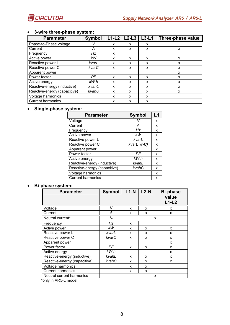

| <b>Parameter</b>             | <b>Symbol</b> | $L1-L2$ | $L2-L3$ | $L3-L1$ | Three-phase value |
|------------------------------|---------------|---------|---------|---------|-------------------|
| Phase-to-Phase voltage       |               | X       | x       | x       |                   |
| Current                      | А             | x       | x       | x       | X                 |
| Frequency                    | Hz            | x       |         |         |                   |
| Active power                 | kW            | X       | x       | X       | X                 |
| Reactive power L             | kvarL         | X       | X       | x       | X                 |
| Reactive power C             | kvarC         | X       | X       | X       | X                 |
| Apparent power               |               |         |         |         | X                 |
| Power factor                 | PF            | X       | x       | X       | X                 |
| Active energy                | kW h          | X       | X       | X       | x                 |
| Reactive-energy (inductive)  | kvahL         | x       | x       | X       | x                 |
| Reactive-energy (capacitive) | kvahC         | X       | X       | X       | x                 |
| Voltage harmonics            |               | X       | X       | X       |                   |
| <b>Current harmonics</b>     |               | X       | X       | X       |                   |

# • **3-wire three-phase system:**

# • **Single-phase system:**

| <b>Parameter</b>             | <b>Symbol</b> | L1 |
|------------------------------|---------------|----|
| Voltage                      |               | x  |
| Current                      | А             | x  |
| Frequency                    | Hz            | x  |
| Active power                 | kW            | x  |
| Reactive power L             | kvarL         | x  |
| Reactive power C             | $kvarl$ /(-C) | x  |
| Apparent power               |               | x  |
| Power factor                 | PF            | x  |
| Active energy                | kW h          | x  |
| Reactive-energy (inductive)  | kvahL         | x  |
| Reactive-energy (capacitive) | kvahC         | x  |
| Voltage harmonics            |               | x  |
| <b>Current harmonics</b>     |               | x  |

#### • **Bi-phase system:**

| <b>Parameter</b>             | <b>Symbol</b> | $L1-N$ | $L2-N$ | <b>Bi-phase</b><br>value<br>$L1-L2$ |  |
|------------------------------|---------------|--------|--------|-------------------------------------|--|
| Voltage                      | V             | X      | X      | x                                   |  |
| Current                      | А             | X      | X      | X                                   |  |
| Neutral current*             | $I_N$         |        |        | X                                   |  |
| Frequency                    | Hz            | x      |        |                                     |  |
| Active power                 | kW            | X      | X      | X                                   |  |
| Reactive power L             | kvarL         | x      | X      | X                                   |  |
| Reactive power C             | kvarC         | X      | X      | X                                   |  |
| Apparent power               |               |        |        | X                                   |  |
| Power factor                 | PF            | x      | X      | X                                   |  |
| Active energy                | kW h          |        |        | X                                   |  |
| Reactive-energy (inductive)  | kvahL         | x      | x      | x                                   |  |
| Reactive-energy (capacitive) | kvahC         | x      | x      | X                                   |  |
| Voltage harmonics            |               | X      | X      |                                     |  |
| <b>Current harmonics</b>     |               | x      | X      |                                     |  |
| Neutral current harmonics    |               | x      |        |                                     |  |

\*only in AR5-L model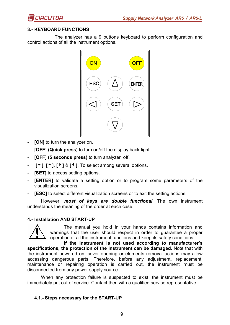

# **3.- KEYBOARD FUNCTIONS**

 The analyzer has a 9 buttons keyboard to perform configuration and control actions of all the instrument options.



- *FONI* to turn the analyzer on.
- **[OFF] (Quick press)** to turn on/off the display back-light.
- **[OFF] (5 seconds press)** to turn analyzer off.
- $\lbrack \bullet \rbrack$ ,  $\lbrack \bullet \rbrack$ ,  $\lbrack \bullet \rbrack$  &  $\lbrack \bullet \rbrack$ . To select among several options.
- **[SET]** to access setting options.
- **[ENTER]** to validate a setting option or to program some parameters of the visualization screens.
- **[ESC]** to select different visualization screens or to exit the setting actions.

However, *most of keys are double functional*: The own instrument understands the meaning of the order at each case.

#### **4.- Installation AND START-UP**



The manual you hold in your hands contains information and warnings that the user should respect in order to guarantee a proper operation of all the instrument functions and keep its safety conditions.

**If the instrument is not used according to manufacturer's specifications, the protection of the instrument can be damaged.** Note that with the instrument powered on, cover opening or elements removal actions may allow accessing dangerous parts. Therefore, before any adjustment, replacement, maintenance or repairing operation is carried out, the instrument must be disconnected from any power supply source.

When any protection failure is suspected to exist, the instrument must be immediately put out of service. Contact then with a qualified service representative.

#### **4.1.- Steps necessary for the START-UP**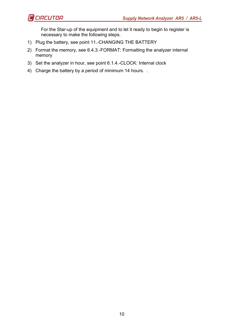For the Star-up of the equipment and to let it ready to begin to register is necessary to make the following steps.

- 1) Plug the battery, see point 11.-CHANGING THE BATTERY
- 2) Format the memory, see 6.4.3.-FORMAT: Formatting the analyzer internal memory
- 3) Set the analyzer in hour, see point 6.1.4.-CLOCK: Internal clock
- 4) Charge the battery by a period of minimum 14 hours. .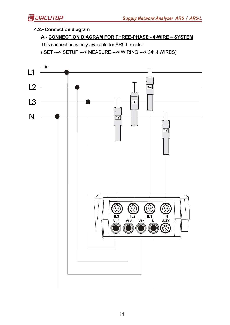# **4.2.- Connection diagram**

# **A.- CONNECTION DIAGRAM FOR THREE-PHASE - 4-WIRE – SYSTEM**

This connection is only available for AR5-L model

( SET ---> SETUP ---> MEASURE ---> WIRING ---> 3Φ 4 WIRES)

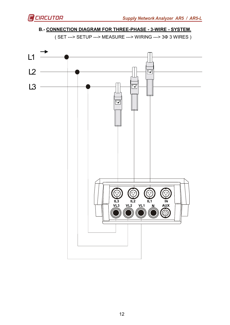

# **B.- CONNECTION DIAGRAM FOR THREE-PHASE - 3-WIRE - SYSTEM.**

( SET ---> SETUP ---> MEASURE ---> WIRING ---> 3Φ 3 WIRES )

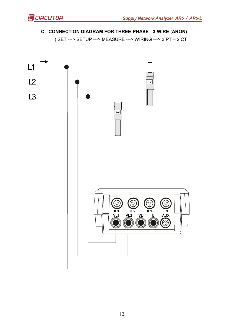# **C.- CONNECTION DIAGRAM FOR THREE-PHASE - 3-WIRE (ARON)**

( SET ---> SETUP ---> MEASURE ---> WIRING ---> 3 PT – 2 CT

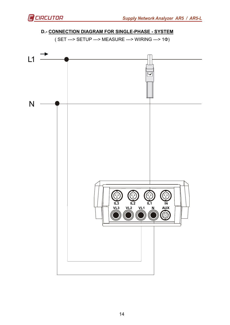

# **D.- CONNECTION DIAGRAM FOR SINGLE-PHASE - SYSTEM**

( SET ---> SETUP ---> MEASURE ---> WIRING ---> 1Φ)

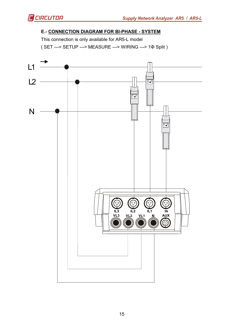# **E.- CONNECTION DIAGRAM FOR BI-PHASE - SYSTEM**

This connection is only available for AR5-L model

( SET ---> SETUP ---> MEASURE ---> WIRING ---> 1Φ Split )

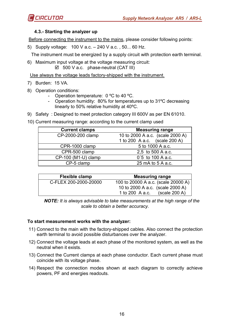

# **4.3.- Starting the analyzer up**

Before connecting the instrument to the mains, please consider following points:

5) Supply voltage: 100 V a.c. – 240 V a.c. , 50... 60 Hz.

The instrument must be energized by a supply circuit with protection earth terminal.

6) Maximum input voltage at the voltage measuring circuit:  $\boxtimes$  500 V a.c. phase-neutral (CAT III)

Use always the voltage leads factory-shipped with the instrument.

- 7) Burden: 15 VA.
- 8) Operation conditions:
	- Operation temperature: 0 ºC to 40 ºC.
	- Operation humidity: 80% for temperatures up to 31ºC decreasing linearly to 50% relative humidity at 40ºC.
- 9) Safety : Designed to meet protection category III 600V as per EN 61010.
- 10) Current measuring range: according to the current clamp used

| <b>Current clamps</b> | <b>Measuring range</b>           |  |  |  |
|-----------------------|----------------------------------|--|--|--|
| CP-2000-200 clamp     | 10 to 2000 A a.c. (scale 2000 A) |  |  |  |
|                       | 1 to 200 A a.c. (scale 200 A)    |  |  |  |
| CPR-1000 clamp        | 5 to 1000 A a.c.                 |  |  |  |
| CPR-500 clamp         | 2,5 to 500 A a.c.                |  |  |  |
| CP-100 (M1-U) clamp   | 0'5 to 100 A a.c.                |  |  |  |
| CP-5 clamp            | 25 mA to 5 A a.c.                |  |  |  |

| Flexible clamp        | <b>Measuring range</b>              |
|-----------------------|-------------------------------------|
| C-FLEX 200-2000-20000 | 100 to 20000 A a.c. (scale 20000 A) |
|                       | 10 to 2000 A a.c. (scale 2000 A)    |
|                       | (scale 200 A)<br>1 to 200 A a.c.    |

*NOTE: It is always advisable to take measurements at the high range of the scale to obtain a better accuracy.* 

# **To start measurement works with the analyzer:**

- 11) Connect to the main with the factory-shipped cables. Also connect the protection earth terminal to avoid possible disturbances over the analyzer.
- 12) Connect the voltage leads at each phase of the monitored system, as well as the neutral when it exists.
- 13) Connect the Current clamps at each phase conductor. Each current phase must coincide with its voltage phase.
- 14) Respect the connection modes shown at each diagram to correctly achieve powers, PF and energies readouts.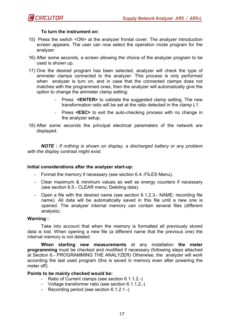

#### **To turn the instrument on:**

- 15) Press the switch <ON> at the analyzer frontal cover. The analyzer introduction screen appears. The user can now select the operation mode program for the analyzer
- 16) After some seconds, a screen allowing the choice of the analyzer program to be used is shown up.
- 17) One the desired program has been selected, analyzer will check the type of ammeter clamps connected to the analyzer. This process is only performed when analyzer is turn on, and in case that the connected clamps does not matches with the programmed ones, then the analyzer will automatically give the option to change the ammeter clamp setting:
	- Press <**ENTER>** to validate the suggested clamp setting. The new transformation ratio will be set at the ratio detected in the clamp L1.
	- Press **<ESC>** to exit the auto-checking process with no change in the analyzer setup.
- 18) After some seconds the principal electrical parameters of the network are displayed.

*NOTE : If nothing is shown on display, a discharged battery or any problem with the display contrast might exist.* 

#### **Initial considerations after the analyzer start-up:**

- Format the memory if necessary (see section 6.4.-FILES Menu).
- Clear maximum & minimum values as well as energy counters if necessary (see section 6.5.- CLEAR menu: Deleting data).
- Open a file with the desired name (see section 6.1.2.3.- NAME: recording file name). All data will be automatically saved in this file until a new one is opened. The analyzer internal memory can contain several files (different analysis).

#### **Warning :**

Take into account that when the memory is formatted all previously stored data is lost. When opening a new file (a different name that the previous one) the internal memory is not deleted.

**When starting new measurements** at any installation **the meter programming** must be checked and modified if necessary (following steps attached at Section 6.- PROGRAMMING THE ANALYZER*)* Otherwise, the analyzer will work according the last used program (this is saved in memory even after powering the meter off).

#### **Points to be mainly checked would be:**

- Ratio of Current clamps (see section 6.1.1.2.-)
- Voltage transformer ratio (see section 6.1.1.2.-)
- Recording period (see section 6.1.2.1.-)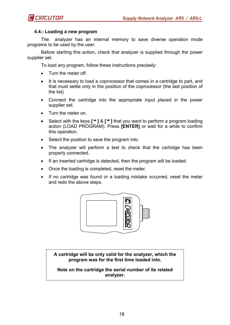

#### **4.4.- Loading a new program**

The analyzer has an internal memory to save diverse operation mode programs to be used by the user.

Before starting this action, check that analyzer is supplied through the power supplier set.

To load any program, follow these instructions precisely:

- Turn the meter off.
- It is necessary to load a coprocessor that comes in a cartridge to part, and that must settle only in the position of the coprocessor (the last position of the list)
- Connect the cartridge into the appropriate input placed in the power supplier set.
- Turn the meter on.
- Select with the keys **[**5**]** & **[**6**]** that you want to perform a program loading action (LOAD PROGRAM). Press **[ENTER]** or wait for a while to confirm this operation.
- Select the position to save the program into.
- The analyzer will perform a test to check that the cartridge has been properly connected.
- If an inserted cartridge is detected, then the program will be loaded.
- Once the loading is completed, reset the meter.
- If no cartridge was found or a loading mistake occurred, reset the meter and redo the above steps.



**A cartridge will be only valid for the analyzer, which the program was for the first time loaded into.** 

**Note on the cartridge the serial number of its related analyzer.**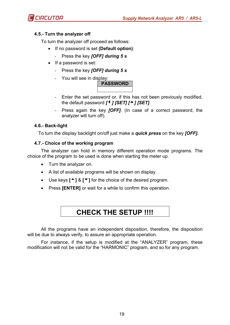

# **4.5.- Turn the analyzer off**

To turn the analyzer off proceed as follows:

- If no password is set **(Default option)**:
	- Press the key *[OFF] during 5 s*
- If a password is set:
	- Press the key *[OFF] during 5 s*
	- You will see in display:



- Enter the set password or, if this has not been previously modified, the default password *[*<sup>4</sup> *] [SET] [*<sup>△</sup> *] [SET]*.
- Press again the key *[OFF]*. (In case of a correct password, the analyzer will turn off).

# **4.6.- Back-light**

To turn the display backlight on/off just make a *quick press* on the key *[OFF].* 

# **4.7.- Choice of the working program**

The analyzer can hold in memory different operation mode programs. The choice of the program to be used is done when starting the meter up.

- Turn the analyzer on.
- A list of available programs will be shown on display.
- Use keys **[**5**]** & **[**6**]** for the choice of the desired program.
- Press **[ENTER]** or wait for a while to confirm this operation.

# **CHECK THE SETUP !!!!**

All the programs have an independent disposition, therefore, the disposition will be due to always verify, to assure an appropriate operation.

For instance, if the setup is modified at the "ANALYZER" program, these modification will not be valid for the "HARMONIC" program, and so for any program.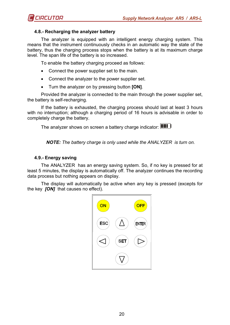

# **4.8.- Recharging the analyzer battery**

The analyzer is equipped with an intelligent energy charging system. This means that the instrument continuously checks in an automatic way the state of the battery, thus the charging process stops when the battery is at its maximum charge level. The span life of the battery is so increased.

To enable the battery charging proceed as follows:

- Connect the power supplier set to the main.
- Connect the analyzer to the power supplier set.
- Turn the analyzer on by pressing button **[ON]**.

Provided the analyzer is connected to the main through the power supplier set, the battery is self-recharging.

If the battery is exhausted, the charging process should last at least 3 hours with no interruption; although a charging period of 16 hours is advisable in order to completely charge the battery.

The analyzer shows on screen a battery charge indicator: **IIIII** 

 *NOTE: The battery charge is only used while the ANALYZER is turn on.* 

#### **4.9.- Energy saving**

The ANALYZER has an energy saving system. So, if no key is pressed for at least 5 minutes, the display is automatically off. The analyzer continues the recording data process but nothing appears on display.

The display will automatically be active when any key is pressed (excepts for the key *[ON]* that causes no effect).

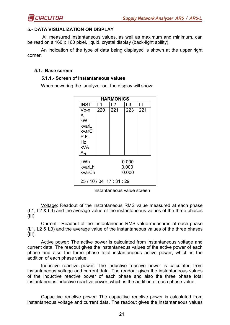

## **5.- DATA VISUALIZATION ON DISPLAY**

 All measured instantaneous values, as well as maximum and minimum, can be read on a 160 x 160 pixel, liquid, crystal display (back-light ability).

An indication of the type of data being displayed is shown at the upper right corner.

#### **5.1.- Base screen**

#### **5.1.1.- Screen of instantaneous values**

When powering the analyzer on, the display will show:

| <b>HARMONICS</b>          |     |     |       |     |  |  |
|---------------------------|-----|-----|-------|-----|--|--|
| <b>INST</b>               | l 1 | L2  | L3    | Ш   |  |  |
| Vp-n                      | 220 | 221 | 223   | 221 |  |  |
| А                         |     |     |       |     |  |  |
| kW                        |     |     |       |     |  |  |
| kvarL                     |     |     |       |     |  |  |
| kvarC                     |     |     |       |     |  |  |
| P.F.                      |     |     |       |     |  |  |
| Hz.                       |     |     |       |     |  |  |
| <b>kVA</b>                |     |     |       |     |  |  |
| $\mathsf{A}_{\mathsf{N}}$ |     |     |       |     |  |  |
| kWh                       |     |     | 0.000 |     |  |  |
| kvarLh                    |     |     |       |     |  |  |
|                           |     |     | 0.000 |     |  |  |
| kvarCh                    |     |     | 0.000 |     |  |  |
| 25 / 10 / 04 17 : 31 : 29 |     |     |       |     |  |  |

Instantaneous value screen

Voltage: Readout of the instantaneous RMS value measured at each phase  $(L1, L2, & L3)$  and the average value of the instantaneous values of the three phases  $(III).$ 

Current : Readout of the instantaneous RMS value measured at each phase (L1, L2 & L3) and the average value of the instantaneous values of the three phases  $(III).$ 

Active power: The active power is calculated from instantaneous voltage and current data. The readout gives the instantaneous values of the active power of each phase and also the three phase total instantaneous active power, which is the addition of each phase value.

Inductive reactive power: The inductive reactive power is calculated from instantaneous voltage and current data. The readout gives the instantaneous values of the inductive reactive power of each phase and also the three phase total instantaneous inductive reactive power, which is the addition of each phase value.

Capacitive reactive power: The capacitive reactive power is calculated from instantaneous voltage and current data. The readout gives the instantaneous values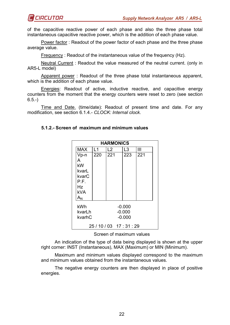of the capacitive reactive power of each phase and also the three phase total instantaneous capacitive reactive power, which is the addition of each phase value.

Power factor : Readout of the power factor of each phase and the three phase average value.

Frequency : Readout of the instantaneous value of the frequency (Hz).

Neutral Current : Readout the value measured of the neutral current. (only in AR5-L model)

Apparent power : Readout of the three phase total instantaneous apparent, which is the addition of each phase value.

Energies: Readout of active, inductive reactive, and capacitive energy counters from the moment that the energy counters were reset to zero (see section  $6.5.$ - $)$ 

Time and Date. (time/date): Readout of present time and date. For any modification, see section 6.1.4.- *CLOCK: Internal clock*.

| <b>HARMONICS</b>          |     |     |                |     |  |
|---------------------------|-----|-----|----------------|-----|--|
| <b>MAX</b>                | l 1 | L2  | L <sub>3</sub> | Ш   |  |
| Vp-n                      | 220 | 221 | 223            | 221 |  |
| A                         |     |     |                |     |  |
| kW                        |     |     |                |     |  |
| kvarL                     |     |     |                |     |  |
| kvarC<br>P.F.             |     |     |                |     |  |
| Hz                        |     |     |                |     |  |
| <b>kVA</b>                |     |     |                |     |  |
| $\mathsf{A}_{\mathsf{N}}$ |     |     |                |     |  |
| kWh                       |     |     | $-0.000$       |     |  |
| kvarLh<br>$-0.000$        |     |     |                |     |  |
| kvarhC                    |     |     | $-0.000$       |     |  |
| 25 / 10 / 03 17 : 31 : 29 |     |     |                |     |  |

#### **5.1.2.- Screen of maximum and minimum values**

Screen of maximum values

An indication of the type of data being displayed is shown at the upper right corner: INST (Instantaneous), MAX (Maximum) or MIN (Minimum).

Maximum and minimum values displayed correspond to the maximum and minimum values obtained from the instantaneous values.

The negative energy counters are then displayed in place of positive energies.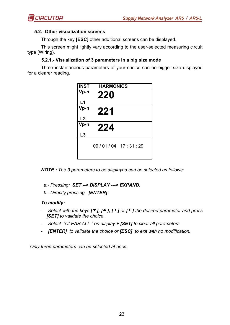

# **5.2.- Other visualization screens**

Through the key **[ESC]** other additional screens can be displayed.

This screen might lightly vary according to the user-selected measuring circuit type (Wiring).

## **5.2.1.- Visualization of 3 parameters in a big size mode**

Three instantaneous parameters of your choice can be bigger size displayed for a clearer reading.

| <b>INST</b> | <b>HARMONICS</b>  |
|-------------|-------------------|
| Vp-n        | 220               |
| L1          |                   |
| Vp-n        | 221               |
| L2          |                   |
| Vp-n        | 224               |
| L3          |                   |
|             | 09/01/04 17:31:29 |

*NOTE : The 3 parameters to be displayed can be selected as follows:* 

 *a.- Pressing: SET --> DISPLAY ---> EXPAND.* 

 *b.- Directly pressing [ENTER]:* 

#### *To modify:*

- *Select with the keys [<sup>▼</sup>], [<sup>▲</sup>], [<sup>▶</sup>] or [<sup>4</sup>] the desired parameter and press [SET] to validate the choice.*
- *Select "CLEAR ALL " on display + [SET] to clear all parameters.*
- *[ENTER] to validate the choice or [ESC] to exit with no modification.*

 *Only three parameters can be selected at once.*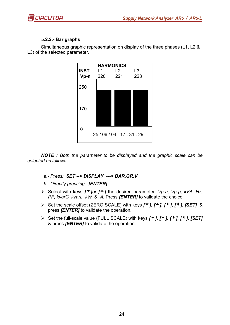

# **5.2.2.- Bar graphs**



Simultaneous graphic representation on display of the three phases (L1, L2 & L3) of the selected parameter.

*NOTE : Both the parameter to be displayed and the graphic scale can be selected as follows:* 

 *a.- Press: SET --> DISPLAY ---> BAR.GR.V* 

 *b.- Directly pressing [ENTER]:* 

- > Select with keys *[*▼*]or [*<sup>△</sup>*]* the desired parameter: *Vp-n, Vp-p, kVA, Hz, PF, kvarC, kvarL, kW* & *A.* Press *[ENTER]* to validate the choice.
- > Set the scale offset (ZERO SCALE) with keys  $[\Psi], [A], [Y], [A], [SET]$  & press *[ENTER]* to validate the operation.
- > Set the full-scale value (FULL SCALE) with keys  $[\Psi], [A], [A], [SET]$ & press *[ENTER]* to validate the operation.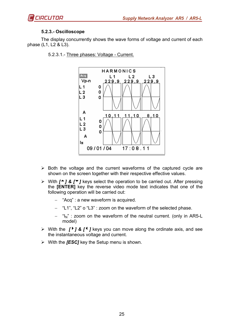



# **5.2.3.- Oscilloscope**

The display concurrently shows the wave forms of voltage and current of each phase (L1, L2 & L3).

- **HARMONICS** Acq  $L<sub>1</sub>$  $L<sub>2</sub>$ L<sub>3</sub> Vp-n 229.9  $229,9$ 229.9 L 1 0 0 L<sub>2</sub> LЗ  $\mathbf 0$ A 10,  $11$  $11$  $10$  $8,10$  $L<sub>1</sub>$ 0  $L<sub>2</sub>$  $\mathbf 0$ L<sub>3</sub> 0 А Īн 09/01/04  $17:08.11$
- 5.2.3.1.- Three phases: Voltage Current.

- > Both the voltage and the current waveforms of the captured cycle are shown on the screen together with their respective effective values.
- > With  $[$ <sup>★</sup>] &  $[$ <sup>★</sup>] keys select the operation to be carried out. After pressing the **[ENTER]** key the reverse video mode text indicates that one of the following operation will be carried out:
	- − "Acq" : a new waveform is acquired.
	- − "L1", "L2" o "L3" : zoom on the waveform of the selected phase.
	- " $I_N$ " : zoom on the waveform of the neutral current. (only in AR5-L model)
- > With the *[*<sup>1</sup>*] & [*<sup>4</sup>*]* keys you can move along the ordinate axis, and see the instantaneous voltage and current.
- > With the *[ESC]* key the Setup menu is shown.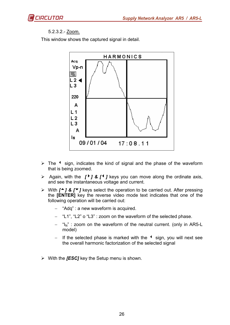

# 5.2.3.2.- Zoom.

This window shows the captured signal in detail.



- > The  $\triangle$  sign, indicates the kind of signal and the phase of the waveform that is being zoomed.
- > Again, with the *[*<sup>}</sup>*] & [*<sup>4</sup>*]* keys you can move along the ordinate axis, and see the instantaneous voltage and current.
- > With  $[$ <sup>★</sup>] &  $[$ <sup>★</sup>] keys select the operation to be carried out. After pressing the **[ENTER]** key the reverse video mode text indicates that one of the following operation will be carried out:
	- − "Adq" : a new waveform is acquired.
	- − "L1", "L2" o "L3" : zoom on the waveform of the selected phase.
	- $\mu_{\text{N}}$ " : zoom on the waveform of the neutral current. (only in AR5-L model)
	- If the selected phase is marked with the <sup>4</sup> sign, you will next see the overall harmonic factorization of the selected signal
- > With the *[ESC]* key the Setup menu is shown.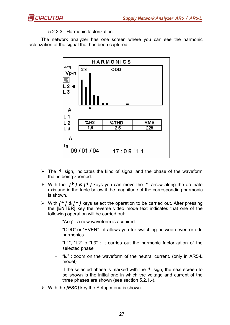# 5.2.3.3.- Harmonic factorization.

The network analyzer has one screen where you can see the harmonic factorization of the signal that has been captured.



- > The  $\triangle$  sign, indicates the kind of signal and the phase of the waveform that is being zoomed.
- > With the  $\int$  *l*  $\int$  **&**  $\int$  **f**  $\int$  keys you can move the  $\triangle$  arrow along the ordinate axis and in the table below it the magnitude of the corresponding harmonic is shown.
- > With  $[$ <sup>★</sup>] &  $[$ <sup>★</sup>] keys select the operation to be carried out. After pressing the **[ENTER]** key the reverse video mode text indicates that one of the following operation will be carried out:
	- − "Acq" : a new waveform is acquired.
	- − "ODD" or "EVEN" : it allows you for switching between even or odd harmonics.
	- − "L1", "L2" o "L3" : it carries out the harmonic factorization of the selected phase
	- − "IN" : zoom on the waveform of the neutral current. (only in AR5-L model)
	- − If the selected phase is marked with the <sup>4</sup> sign, the next screen to be shown is the initial one in which the voltage and current of the three phases are shown (see section 5.2.1.-).
- > With the *[ESC]* key the Setup menu is shown.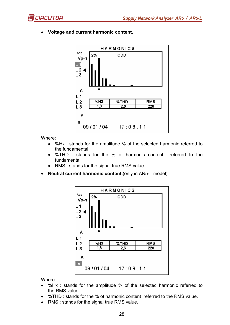



• **Voltage and current harmonic content.** 

Where:

- %Hx : stands for the amplitude % of the selected harmonic referred to the fundamental.
- %THD : stands for the % of harmonic content referred to the fundamental
- RMS : stands for the signal true RMS value
- **Neutral current harmonic content.**(only in AR5-L model)



Where:

- %Hx : stands for the amplitude % of the selected harmonic referred to the RMS value.
- %THD : stands for the % of harmonic content referred to the RMS value.
- RMS : stands for the signal true RMS value.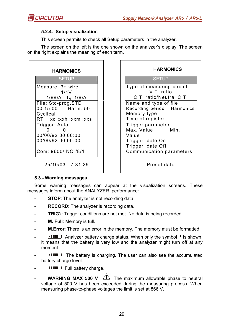

 $\mathbf{r}$ 

#### **5.2.4.- Setup visualization**

This screen permits to check all Setup parameters in the analyzer.

The screen on the left is the one shown on the analyzer's display. The screen on the right explains the meaning of each term.

|          |                              | <b>SETUP</b> |  |  |
|----------|------------------------------|--------------|--|--|
|          | Measure: 3 $\Phi$ wire       |              |  |  |
|          |                              | 1/1V         |  |  |
|          | 1000A - I <sub>N</sub> =100A |              |  |  |
|          | File: Std-prog.STD           |              |  |  |
|          | 00:15:00 Harm. 50            |              |  |  |
| Cyclical |                              |              |  |  |
|          | RT xd :xxh :xxm :xxs         |              |  |  |
|          | Trigger: Auto                |              |  |  |
|          |                              |              |  |  |
|          | 00/00/92 00:00:00            |              |  |  |
|          | 00/00/92 00:00:00            |              |  |  |
|          | Com: 9600/ NO /8/1           |              |  |  |

| <b>HARMONICS</b>                                                                                                               | <b>HARMONICS</b>                                                                                                                                             |
|--------------------------------------------------------------------------------------------------------------------------------|--------------------------------------------------------------------------------------------------------------------------------------------------------------|
| <b>SETUP</b>                                                                                                                   | <b>SETUP</b>                                                                                                                                                 |
| Measure: 3¢ wire<br>1/1V<br>1000A - $I_N$ =100A<br>File: Std-prog.STD<br>00:15:00 Harm. 50<br>Cyclical<br>RT xd :xxh :xxm :xxs | Type of measuring circuit<br>V.T. ratio<br>C.T. ratio/Neutral C.T.<br>Name and type of file<br>Recording period Harmonics<br>Memory type<br>Time of register |
| Trigger: Auto<br>00/00/92 00:00:00<br>00/00/92 00:00:00<br>Com: 9600/ NO /8/1                                                  | Trigger parameter<br>Max. Value<br>Min.<br>Value<br>Trigger: date On<br>Trigger: date Off<br>Communication parameters                                        |

Preset date

#### **5.3.- Warning messages**

Some warning messages can appear at the visualization screens. These messages inform about the ANALYZER performance:

- **STOP:** The analyzer is not recording data.
- **RECORD:** The analyzer is recording data.
- **TRIG**?: Trigger conditions are not met. No data is being recorded.
- **M. Full**: Memory is full.
- **M.Error**: There is an error in the memory. The memory must be formatted.
- **THE Analyzer battery charge status. When only the symbol**  $\triangleleft$  **is shown,** it means that the battery is very low and the analyzer might turn off at any moment.
- **FIIII** The battery is charging. The user can also see the accumulated battery charge level.
- **THE Full battery charge.**
- **WARNING MAX 500 V**  $\sqrt{2}$ : The maximum allowable phase to neutral voltage of 500 V has been exceeded during the measuring process. When measuring phase-to-phase voltages the limit is set at 866 V.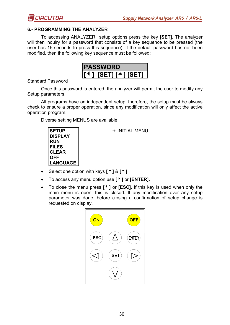

#### **6.- PROGRAMMING THE ANALYZER**

To accessing ANALYZER setup options press the key **[SET]**. The analyzer will then inquiry for a password that consists of a key sequence to be pressed (the user has 15 seconds to press this sequence). If the default password has not been modified, then the following key sequence must be followed:



Standard Password

Once this password is entered, the analyzer will permit the user to modify any Setup parameters.

All programs have an independent setup, therefore, the setup must be always check to ensure a proper operation, since any modification will only affect the active operation program.

Diverse setting MENUS are available:



<sup>●</sup> INITIAL MENU

- Select one option with keys **[**6**]** & **[**5**]**.
- To access any menu option use **[**8**]** or **[ENTER].**
- To close the menu press **[**3**]** or **[ESC]**. If this key is used when only the main menu is open, this is closed. If any modification over any setup parameter was done, before closing a confirmation of setup change is requested on display.

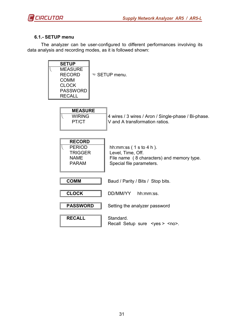

# **6.1.- SETUP menu**

The analyzer can be user-configured to different performances involving its data analysis and recording modes, as it is followed shown:

| <b>SETUP</b><br><b>MEASURE</b><br><b>RECORD</b><br><b>COMM</b><br><b>CLOCK</b><br><b>PASSWORD</b><br><b>RECALL</b> | <sup>●</sup> SETUP menu.                                                                                            |           |  |
|--------------------------------------------------------------------------------------------------------------------|---------------------------------------------------------------------------------------------------------------------|-----------|--|
| <b>MEASURE</b><br><b>WIRING</b><br>PT/CT                                                                           | 4 wires / 3 wires / Aron / Single-phase / Bi-phase.<br>V and A transformation ratios.                               |           |  |
| <b>RECORD</b><br><b>PERIOD</b><br><b>TRIGGER</b><br><b>NAME</b><br><b>PARAM</b>                                    | hh: $mm:ss(1st04h)$ .<br>Level, Time, Off.<br>File name (8 characters) and memory type.<br>Special file parameters. |           |  |
| <b>COMM</b>                                                                                                        | Baud / Parity / Bits / Stop bits.                                                                                   |           |  |
| <b>CLOCK</b>                                                                                                       | DD/MM/YY                                                                                                            | hh:mm:ss. |  |
| <b>PASSWORD</b>                                                                                                    | Setting the analyzer password                                                                                       |           |  |
| <b>RECALL</b>                                                                                                      | Standard.<br>Recall Setup sure < yes > < no >.                                                                      |           |  |
|                                                                                                                    |                                                                                                                     |           |  |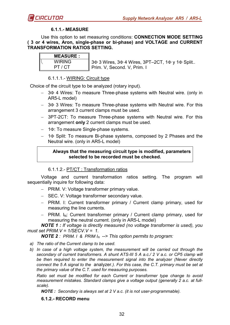

### **6.1.1.- MEASURE**

Use this option to set measuring conditions: **CONNECTION MODE SETTING ( 3 or 4 wires, Aron, single-phase or bi-phase) and VOLTAGE and CURRENT TRANSFORMATION RATIOS SETTING.** 

| <b>MEASURE:</b> |
|-----------------|
| <b>WIRING</b>   |
| PT / CT         |

 3Φ 3 Wires, 3Φ 4 Wires, 3PT–2CT, 1Φ y 1Φ Split.. Prim. V, Second. V, Prim. I

#### 6.1.1.1.- WIRING: Circuit type

Choice of the circuit type to be analyzed (rotary input).

- 3 $Φ$  4 Wires: To measure Three-phase systems with Neutral wire. (only in AR5-L model)
- − 3Φ 3 Wires: To measure Three-phase systems with Neutral wire. For this arrangement 3 current clamps must be used.
- − 3PT-2CT: To measure Three-phase systems with Neutral wire. For this arrangement **only** 2 current clamps must be used.
- − 1Φ: To measure Single-phase systems.
- − 1Φ Split: To measure Bi-phase systems, composed by 2 Phases and the Neutral wire. (only in AR5-L model)

#### **Always that the measuring circuit type is modified, parameters selected to be recorded must be checked.**

#### 6.1.1.2.- PT/CT : Transformation ratios

Voltage and current transformation ratios setting. The program will sequentially inquire for following data:

- − PRIM. V: Voltage transformer primary value.
- − SEC. V: Voltage transformer secondary value.
- − PRIM. I: Current transformer primary / Current clamp primary, used for measuring the line currents.
- − PRIM. I<sub>N</sub>: Current transformer primary / Current clamp primary, used for measuring the neutral current. (only in AR5-L model)

*NOTE 1 : If voltage is directly measured (no voltage transformer is used), you must set PRIM.V = 1/SECV.V = 1.* 

*NOTE 2 : PRIM. I & PRIM I<sup>N</sup> --> This option permits to program:* 

- *a) The ratio of the Current clamp to be used.*
- *b) In case of a high voltage system, the measurement will be carried out through the secondary of current transformers. A shunt ATS-III 5 A a.c./ 2 V a.c. or CP5 clamp will be then required to enter the measurement signal into the analyzer (Never directly connect the 5 A signal to the* analyzer*.). For this case, the C.T. primary must be set at the primary value of the C.T. used for measuring purposes.*

*Ratio set must be modified for each Current or transformer type change to avoid measurement mistakes. Standard clamps give a voltage output (generally 2 a.c. at fullscale).* 

*NOTE : Secondary is always set at 2 V a.c. (it is not user-programmable).* 

#### **6.1.2.- RECORD menu**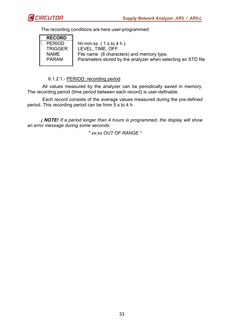

The recording conditions are here user-programmed:



 hh:mm:ss ( 1 s to 4 h ). LEVEL, TIME, OFF. File name (8 characters) and memory type. Parameters stored by the analyzer when selecting an STD file

#### 6.1.2.1.- PERIOD: recording period

 All values measured by the analyzer can be periodically saved in memory. The recording period (time period between each record) is user-definable.

 Each record consists of the average values measured during the pre-defined period. This recording period can be from 5 s to 4 h

*¡ NOTE! If a period longer than 4 hours is programmed, the display will show an error message during some seconds:* 

*" xx:xx OUT OF RANGE "*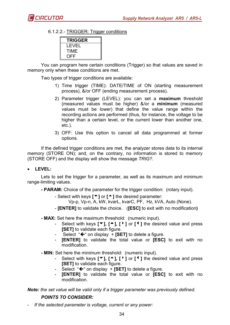

6.1.2.2.- TRIGGER: Trigger conditions

| <b>TRIGGER</b> |  |
|----------------|--|
| I EVEL         |  |
| TIMF           |  |
| OFF            |  |

You can program here certain conditions (Trigger) so that values are saved in memory only when these conditions are met.

Two types of trigger conditions are available:

- 1) Time trigger (TIME): DATE/TIME of ON (starting measurement process), &/or OFF (ending measurement process).
- 2) Parameter trigger (LEVEL): you can set a **maximum** threshold (measured values must be higher) &/or a **minimum** (measured values must be lower) that define the value range within the recording actions are performed (thus, for instance, the voltage to be higher than a certain level, or the current lower than another one, etc.).
- 3) OFF: Use this option to cancel all data programmed at former options.

If the defined trigger conditions are met, the analyzer stores data to its internal memory (STORE ON); and, on the contrary, no information is stored to memory (STORE OFF) and the display will show the message *TRIG?*.

• **LEVEL:** 

Lets to set the trigger for a parameter, as well as its maximum and minimum range-limiting values.

**- PARAM:** Choice of the parameter for the trigger condition: (rotary input).

- Select with keys **[**6**]** or **[**5**]** the desired parameter:
	- Vp-p, Vp-n, A, kW, kvarL, kvarC, PF, Hz, kVA, Auto (None).
- **[ENTER]** to validate the choice. (**[ESC]** to exit with no modification**)**
- **MAX:** Set here the maximum threshold: (numeric input).
	- Select with keys **[**6**], [**5**], [**8**]** or **[**3**]** the desired value and press **[SET]** to validate each figure.
	- Select "← on display + **[SET]** to delete a figure.
	- **[ENTER]** to validate the total value or **[ESC]** to exit with no modification.
- **MIN:** Set here the minimum threshold: (numeric input).
	- Select with keys **[**6**], [**5**], [**8**]** or **[**3**]** the desired value and press **[SET]** to validate each figure.
	- Select  $* \leftarrow$  on display  $*$  **[SET]** to delete a figure.
	- **[ENTER]** to validate the total value or **[ESC]** to exit with no modification.

*Note: the set value will be valid only if a trigger parameter was previously defined.* 

# *POINTS TO CONSIDER:*

- *If the selected parameter is voltage, current or any power:*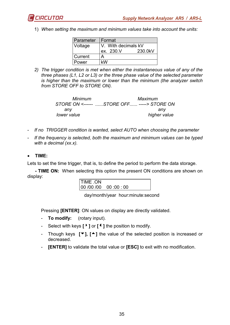

1) *When setting the maximum and minimum values take into account the units:* 

| Parameter | l Format            |         |  |  |
|-----------|---------------------|---------|--|--|
| Voltage   | V. With decimals kV |         |  |  |
|           | ex. 230.V           | 230.0kV |  |  |
| Current   |                     |         |  |  |
| Power     | kW                  |         |  |  |

*2) The trigger condition is met when either the instantaneous value of any of the three phases (L1, L2 or L3) or the three phase value of the selected parameter is higher than the maximum or lower than the minimum (the analyzer switch from STORE OFF to STORE ON).* 

| Minimum     | Maximum      |
|-------------|--------------|
|             |              |
| anv         | anv          |
| lower value | higher value |

- *If no TRIGGER condition is wanted, select AUTO when choosing the parameter*
- *If the frequency is selected, both the maximum and minimum values can be typed with a decimal (xx.x).*
- **TIME:**

Lets to set the time trigger, that is, to define the period to perform the data storage.

**- TIME ON:** When selecting this option the present ON conditions are shown on display:

TIME .ON 00 /00 /00 00 :00 : 00

day/month/year hour:minute:second

Pressing **[ENTER]**: ON values on display are directly validated.

- **To modify:** (rotary input).
- Select with keys **[**8**]** or **[**3**]** the position to modify.
- Though keys **[**6**], [**5**]** the value of the selected position is increased or decreased.
- **[ENTER]** to validate the total value or **[ESC]** to exit with no modification.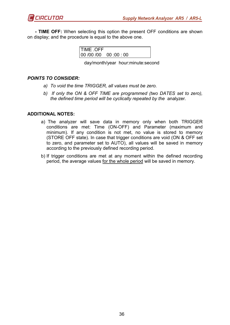**- TIME OFF:** When selecting this option the present OFF conditions are shown on display; and the procedure is equal to the above one.

| TIME .OFF           |  |
|---------------------|--|
| $00/00/00$ 00:00:00 |  |

day/month/year hour:minute:second

# *POINTS TO CONSIDER:*

- *a) To void the time TRIGGER, all values must be zero.*
- *b) If only the ON & OFF TIME are programmed (two DATES set to zero), the defined time period will be cyclically repeated by the* analyzer*.*

#### **ADDITIONAL NOTES:**

- a) The analyzer will save data in memory only when both TRIGGER conditions are met: Time (ON-OFF) and Parameter (maximum and minimum). If any condition is not met, no value is stored to memory (STORE OFF state). In case that trigger conditions are void (ON & OFF set to zero, and parameter set to AUTO), all values will be saved in memory according to the previously defined recording period.
- b) If trigger conditions are met at any moment within the defined recording period, the average values for the whole period will be saved in memory.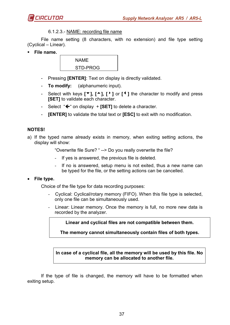

#### 6.1.2.3.- NAME: recording file name

File name setting (8 characters, with no extension) and file type setting (Cyclical – Linear).

**File name.** 



- Pressing **[ENTER]**: Text on display is directly validated.
- **To modify:** (alphanumeric input).
- Select with keys **[**6**], [**5**], [**8**]** or **[**3**]** the character to modify and press **[SET]** to validate each character.
- $-$  Select " $\leftarrow$ " on display  $+$  [SET] to delete a character.
- **[ENTER]** to validate the total text or **[ESC]** to exit with no modification.

#### **NOTES!**

a) If the typed name already exists in memory, when exiting setting actions, the display will show:

"Overwrite file Sure? " --> Do you really overwrite the file?

- If yes is answered, the previous file is deleted.
- If no is answered, setup menu is not exited, thus a new name can be typed for the file, or the setting actions can be cancelled.

#### • **File type.**

Choice of the file type for data recording purposes:

- Cyclical: Cyclical/rotary memory (FIFO). When this file type is selected, only one file can be simultaneously used.
- Linear: Linear memory. Once the memory is full, no more new data is recorded by the analyzer.

**Linear and cyclical files are not compatible between them.** 

**The memory cannot simultaneously contain files of both types.** 

#### **In case of a cyclical file, all the memory will be used by this file. No memory can be allocated to another file.**

If the type of file is changed, the memory will have to be formatted when exiting setup.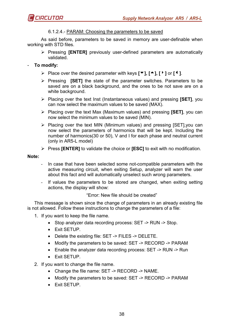

# 6.1.2.4.- PARAM: Choosing the parameters to be saved

As said before, parameters to be saved in memory are user-definable when working with STD files.

> Pressing [ENTER] previously user-defined parameters are automatically validated.

# - **To modify:**

- Place over the desired parameter with keys **[**6**], [**5**], [**8**]** or **[**3**]**.
- > Pressing **[SET]** the state of the parameter switches. Parameters to be saved are on a black background, and the ones to be not save are on a white background.
- Placing over the text Inst (Instantaneous values) and pressing **[SET]**, you can now select the maximum values to be saved (MAX).
- Placing over the text Max (Maximum values) and pressing **[SET]**, you can now select the minimum values to be saved (MIN).
- > Placing over the text MIN (Minimum values) and pressing [SET], you can now select the parameters of harmonics that will be kept. Including the number of harmonics(30 or 50), V and I for each phase and neutral current (only in AR5-L model)
- Press **[ENTER]** to validate the choice or **[ESC]** to exit with no modification.

#### **Note:**

- In case that have been selected some not-compatible parameters with the active measuring circuit, when exiting Setup, analyzer will warn the user about this fact and will automatically unselect such wrong parameters.
- If values the parameters to be stored are changed, when exiting setting actions, the display will show:

"Error: New file should be created"

This message is shown since the change of parameters in an already existing file is not allowed. Follow these instructions to change the parameters of a file:

- 1. If you want to keep the file name.
	- Stop analyzer data recording process: SET -> RUN -> Stop.
	- Exit SETUP.
	- Delete the existing file: SET -> FILES -> DELETE.
	- Modify the parameters to be saved: SET -> RECORD -> PARAM
	- Enable the analyzer data recording process: SET -> RUN -> Run
	- Exit SETUP.
- 2. If you want to change the file name.
	- Change the file name: SET -> RECORD -> NAME.
	- Modify the parameters to be saved: SET -> RECORD -> PARAM
	- Exit SETUP.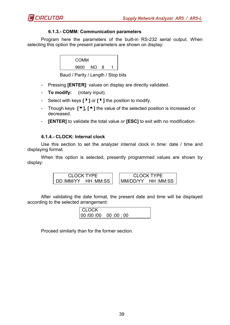

#### **6.1.3.- COMM: Communication parameters**

Program here the parameters of the built-in RS-232 serial output. When selecting this option the present parameters are shown on display:

| <b>COMM</b> |     |   |  |
|-------------|-----|---|--|
| 9600        | NO. | 8 |  |

Baud / Parity / Length / Stop bits

- Pressing **[ENTER]**: values on display are directly validated.
- **To modify:** (rotary input).
- Select with keys **[**4**]** or **[**3**]** the position to modify.
- Though keys **[**6**], [**5**]** the value of the selected position is increased or decreased.
- **[ENTER]** to validate the total value or **[ESC]** to exit with no modification.

#### **6.1.4.- CLOCK: Internal clock**

Use this section to set the analyzer internal clock in time: date / time and displaying format.

When this option is selected, presently programmed values are shown by display:

CLOCK TYPE DD /MM/YY HH :MM:SS CLOCK TYPE MM/DD/YY HH :MM:SS

After validating the date format, the present date and time will be displayed according to the selected arrangement:

| <b>CLOCK</b> |                           |  |
|--------------|---------------------------|--|
|              | 00 :00:00  00 :00  00  00 |  |

Proceed similarly than for the former section.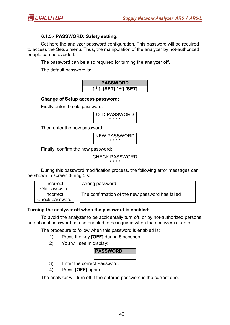

# **6.1.5.- PASSWORD: Safety setting.**

Set here the analyzer password configuration. This password will be required to access the Setup menu. Thus, the manipulation of the analyzer by not-authorized people can be avoided.

The password can be also required for turning the analyzer off.

The default password is:

| <b>PASSWORD</b> |             |  |     |  |  |
|-----------------|-------------|--|-----|--|--|
| $\blacksquare$  | $ISET1I^+1$ |  | sen |  |  |

#### **Change of Setup access password:**

Firstly enter the old password:

OLD PASSWORD \* \* \* \*

Then enter the new password:

NEW PASSWORD \* \* \* \*

Finally, confirm the new password:

CHECK PASSWORD \* \* \* \*

During this password modification process, the following error messages can be shown in screen during 5 s:

| Incorrect      |  |  |
|----------------|--|--|
| Old password   |  |  |
| Incorrect      |  |  |
| Check password |  |  |

Wrong password

The confirmation of the new password has failed

# **Turning the analyzer off when the password is enabled:**

To avoid the analyzer to be accidentally turn off, or by not-authorized persons, an optional password can be enabled to be inquired when the analyzer is turn off.

The procedure to follow when this password is enabled is:

- 1) Press the key **[OFF]** during 5 seconds.
- 2) You will see in display:

# **PASSWORD**

- 3) Enter the correct Password.
- 4) Press **[OFF]** again

The analyzer will turn off if the entered password is the correct one.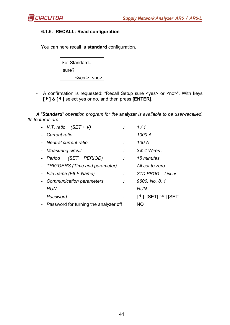

# **6.1.6.- RECALL: Read configuration**

You can here recall a **standard** configuration.

| Set Standard      |  |  |
|-------------------|--|--|
| sure?             |  |  |
| $<$ ves > $<$ no> |  |  |

- A confirmation is requested: "Recall Setup sure <yes> or <no>". With keys **[**4**]** & **[**3**]** select yes or no, and then press **[ENTER]**.

*A "Standard" operation program for the* analyzer *is available to be user-recalled. Its features are:* 

| - V.T. ratio $(SET + V)$ |                                          |      | 1/1                                                      |
|--------------------------|------------------------------------------|------|----------------------------------------------------------|
| - Current ratio          |                                          |      | 1000 A                                                   |
| - Neutral current ratio  |                                          |      | 100 A                                                    |
| - Measuring circuit      |                                          |      | $3\phi$ 4 Wires.                                         |
|                          | - Period (SET + PERIOD)                  |      | 15 minutes                                               |
|                          | - TRIGGERS (Time and parameter)          | - 11 | All set to zero                                          |
|                          | - File name (FILE Name)                  |      | STD-PROG -- Linear                                       |
|                          | - Communication parameters               |      | 9600, No, 8, 1                                           |
| - RUN                    |                                          |      | <b>RUN</b>                                               |
| - Password               |                                          |      | $[$ <sup>4</sup> ] $[SET]$ $[$ $\rightarrow$ $]$ $[SET]$ |
|                          | - Password for turning the analyzer off: |      | NO.                                                      |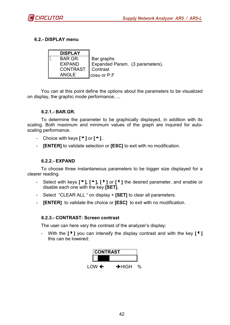

# **6.2.- DISPLAY menu**

| <b>DISPLAY</b> |                                    |  |
|----------------|------------------------------------|--|
| <b>BAR GR.</b> | Bar graphs                         |  |
| <b>EXPAND</b>  | Expanded Param. (3 parameters).    |  |
| CONTRAST       | ∥ Contrast                         |  |
| <b>ANGLE</b>   | $  \cos \varphi \text{ or } P.F  $ |  |

You can at this point define the options about the parameters to be visualized on display, the graphic mode performance, ...

#### **6.2.1.- BAR.GR.**

To determine the parameter to be graphically displayed, in addition with its scaling. Both maximum and minimum values of the graph are inquired for autoscaling performance.

- Choice with keys **[**6**]** or **[**5**]**.
- **[ENTER]** to validate selection or **[ESC]** to exit with no modification.

## **6.2.2.- EXPAND**

To choose three instantaneous parameters to be bigger size displayed for a clearer reading.

- Select with keys **[**6**], [**5**], [**4**]** or **[**3**]** the desired parameter, and enable or disable each one with the key **[SET]**.
- Select "CLEAR ALL " on display + **[SET]** to clear all parameters.
- **[ENTER]** to validate the choice or **[ESC]** to exit with no modification.

#### **6.2.3.- CONTRAST: Screen contrast**

The user can here vary the contrast of the analyzer's display:

With the  $[\cdot]$  you can intensify the display contrast and with the key  $[\cdot]$ this can be lowered:

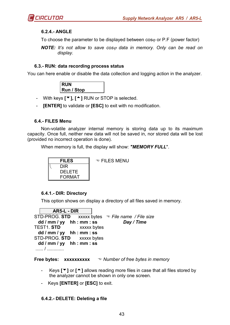

#### **6.2.4.- ANGLE**

To choose the parameter to be displayed between  $cos<sub>φ</sub>$  or P.F (power factor)

*NOTE:* It's not allow to save cos<sub> $\varphi$ </sub> data in memory. Only can be read on *display.* 

#### **6.3.- RUN: data recording process status**

You can here enable or disable the data collection and logging action in the analyzer.

| <b>RUN</b>        |  |
|-------------------|--|
| <b>Run / Stop</b> |  |

- With keys **[**6**], [**5**]** RUN or STOP is selected.

**[ENTER]** to validate or **[ESC]** to exit with no modification.

#### **6.4.- FILES Menu**

Non-volatile analyzer internal memory is storing data up to its maximum capacity. Once full, neither new data will not be saved in, nor stored data will be lost (provided no incorrect operation is done).

When memory is full, the display will show: *"MEMORY FULL*".



#### **6.4.1.- DIR: Directory**

This option shows on display a directory of all files saved in memory.

**AR5-L - DIR**  STD-PROG. **STD** xxxxx bytes *File name / File size*   **dd / mm / yy hh : mm : ss** *Day / Time* TEST1. **STD** xxxxx bytes  **dd / mm / yy hh : mm : ss**  STD-PROG. **STD** xxxxx bytes  **dd / mm / yy hh : mm : ss**  ...... / .............

**Free bytes: xxxxxxxxx**  $\bullet$  *Number of free bytes in memory* 

- Keys **[**▼] or **[**<sup>△</sup>] allows reading more files in case that all files stored by the analyzer cannot be shown in only one screen.
- Keys **[ENTER]** or **[ESC]** to exit.

# **6.4.2.- DELETE: Deleting a file**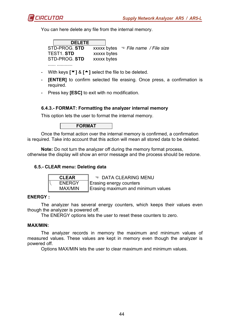

You can here delete any file from the internal memory.

| <b>DELETE</b> |             |                                                 |
|---------------|-------------|-------------------------------------------------|
| STD-PROG. STD |             | xxxxx bytes $\mathcal{D}$ File name / File size |
| TEST1. STD    | xxxxx bytes |                                                 |
| STD-PROG. STD | xxxxx bytes |                                                 |
|               |             |                                                 |

- With keys **[**6**]** & **[**5**]** select the file to be deleted.
- **[ENTER]** to confirm selected file erasing. Once press, a confirmation is required.
- Press key **[ESC]** to exit with no modification.

#### **6.4.3.- FORMAT: Formatting the analyzer internal memory**

This option lets the user to format the internal memory.

**FORMAT** 

Once the format action over the internal memory is confirmed, a confirmation is required. Take into account that this action will mean all stored data to be deleted.

**Note:** Do not turn the analyzer off during the memory format process, otherwise the display will show an error message and the process should be redone.

# **6.5.- CLEAR menu: Deleting data**

| <b>CLEAR</b>  | <b>TO DATA CLEARING MENU</b>       |
|---------------|------------------------------------|
| <b>ENERGY</b> | Erasing energy counters            |
| MAX/MIN       | Erasing maximum and minimum values |

#### **ENERGY :**

The analyzer has several energy counters, which keeps their values even though the analyzer is powered off.

The ENERGY options lets the user to reset these counters to zero.

#### **MAX/MIN:**

The analyzer records in memory the maximum and minimum values of measured values. These values are kept in memory even though the analyzer is powered off.

Options MAX/MIN lets the user to clear maximum and minimum values.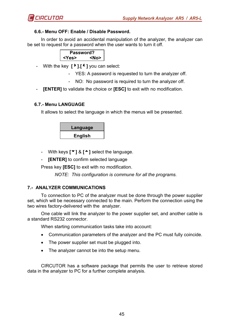

# **6.6.- Menu OFF: Enable / Disable Password.**

In order to avoid an accidental manipulation of the analyzer, the analyzer can be set to request for a password when the user wants to turn it off.

| Password?   |           |
|-------------|-----------|
| <yes></yes> | <no></no> |

- With the key **[**4**]**,**[**3**]** you can select:
	- YES: A password is requested to turn the analyzer off.
	- NO: No password is required to turn the analyzer off.
- **[ENTER]** to validate the choice or **[ESC]** to exit with no modification.

# **6.7.- Menu LANGUAGE**

It allows to select the language in which the menus will be presented.

| Language       |  |
|----------------|--|
| <b>English</b> |  |

- With keys **[**6**]** & **[**5**]** select the language.

- **[ENTER]** to confirm selected language

Press key **[ESC]** to exit with no modification.

*NOTE: This configuration is commune for all the programs.* 

# **7.- ANALYZER COMMUNICATIONS**

To connection to PC of the analyzer must be done through the power supplier set, which will be necessary connected to the main. Perform the connection using the two wires factory-delivered with the analyzer.

One cable will link the analyzer to the power supplier set, and another cable is a standard RS232 connector.

When starting communication tasks take into account:

- Communication parameters of the analyzer and the PC must fully coincide.
- The power supplier set must be plugged into.
- The analyzer cannot be into the setup menu.

CIRCUTOR has a software package that permits the user to retrieve stored data in the analyzer to PC for a further complete analysis.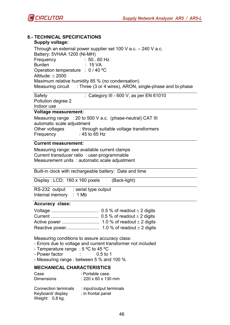

| <b>8.- TECHNICAL SPECIFICATIONS</b><br>Supply voltage:                                |                                                                                                                                                                                                                                                                                                                                                        |  |  |
|---------------------------------------------------------------------------------------|--------------------------------------------------------------------------------------------------------------------------------------------------------------------------------------------------------------------------------------------------------------------------------------------------------------------------------------------------------|--|--|
|                                                                                       | Through an external power supplier set 100 V a.c. $-$ 240 V a.c.<br>Battery: 5VHAA 1200 (Ni-MH)<br>$: 5060$ Hz<br>Frequency<br><b>Burden</b><br>: 15 VA<br>Operation temperature : 0 / 40 °C<br>Altitude: $\leq$ 2000<br>Maximum relative humidity 85 % (no condensation)<br>Measuring circuit : Three (3 or 4 wires), ARON, single-phase and bi-phase |  |  |
|                                                                                       |                                                                                                                                                                                                                                                                                                                                                        |  |  |
|                                                                                       | : Category III - 600 V, as per EN 61010<br>Safety<br>Pollution degree 2<br>Indoor use                                                                                                                                                                                                                                                                  |  |  |
|                                                                                       | <b>Voltage measurement:</b>                                                                                                                                                                                                                                                                                                                            |  |  |
|                                                                                       | Measuring range : 20 to 500 V a.c. (phase-neutral) CAT III<br>automatic scale adjustment                                                                                                                                                                                                                                                               |  |  |
| Other voltages : through suitable voltage transformers<br>$:45$ to 65 Hz<br>Frequency |                                                                                                                                                                                                                                                                                                                                                        |  |  |
|                                                                                       | <b>Current measurement:</b>                                                                                                                                                                                                                                                                                                                            |  |  |
|                                                                                       | Measuring range: see available current clamps<br>Current transducer ratio: user-programmable<br>Measurement units : automatic scale adjustment                                                                                                                                                                                                         |  |  |
|                                                                                       | Built-in clock with rechargeable battery: Date and time                                                                                                                                                                                                                                                                                                |  |  |
|                                                                                       | Display: LCD; 160 x 160 pixels<br>(Back-light)                                                                                                                                                                                                                                                                                                         |  |  |
|                                                                                       | RS-232 output : serial type output<br>Internal memory : 1 Mb                                                                                                                                                                                                                                                                                           |  |  |
|                                                                                       | <b>Accuracy class:</b>                                                                                                                                                                                                                                                                                                                                 |  |  |
|                                                                                       |                                                                                                                                                                                                                                                                                                                                                        |  |  |
|                                                                                       |                                                                                                                                                                                                                                                                                                                                                        |  |  |
|                                                                                       |                                                                                                                                                                                                                                                                                                                                                        |  |  |
|                                                                                       | Measuring conditions to assure accuracy class:<br>- Errors due to voltage and current transformer not included<br>- Temperature range : $5^{\circ}$ C to 45 °C<br>- Power factor<br>$0.5$ to 1                                                                                                                                                         |  |  |

- Measuring range : between 5 % and 100 %

# **MECHANICAL CHARACTERISTICS**

| Case                                                                | : Portable case.                               |
|---------------------------------------------------------------------|------------------------------------------------|
| <b>Dimensions</b>                                                   | : 220 $\times$ 60 $\times$ 130 mm              |
| <b>Connection terminals</b><br>Keyboard/ display<br>Weight: 0,8 kg. | : input/output terminals<br>: in frontal panel |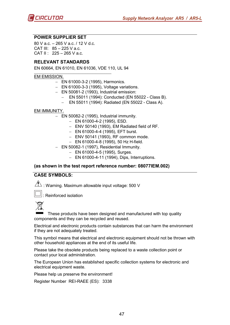#### **POWER SUPPLIER SET**

80 V a.c. – 265 V a.c. / 12 V d.c. CAT III: 85 – 225 V a.c. CAT II:  $225 - 265$  V a.c.

#### **RELEVANT STANDARDS**

EN 60664, EN 61010, EN 61036, VDE 110, UL 94

#### \_\_\_\_\_\_\_\_\_\_\_\_\_\_\_\_\_\_\_\_\_\_\_\_\_\_\_\_\_\_\_\_\_\_\_\_\_\_\_\_\_\_\_\_\_ EM EMISSION.

- − EN 61000-3-2 (1995), Harmonics.
- − EN 61000-3-3 (1995), Voltage variations.
- − EN 50081-2 (1993), Industrial emission:
	- − EN 55011 (1994): Conducted (EN 55022 Class B).
	- − EN 55011 (1994): Radiated (EN 55022 Class A).

#### EM IMMUNITY.

- − EN 50082-2 (1995), Industrial immunity.
	- − EN 61000-4-2 (1995), ESD.
	- − ENV 50140 (1993), EM Radiated field of RF.
	- − EN 61000-4-4 (1995), EFT burst.
	- − ENV 50141 (1993), RF common mode.
	- − EN 61000-4-8 (1995), 50 Hz H-field.
- − EN 50082-1 (1997), Residential Immunity.
	- − EN 61000-4-5 (1995), Surges.
	- − EN 61000-4-11 (1994), Dips, Interruptions.

#### **(as shown in the test report reference number: 08077IEM.002)**

#### **CASE SYMBOLS:**

 $\overline{\mathcal{A}}$ : Warning. Maximum allowable input voltage: 500 V



: Reinforced isolation



These products have been designed and manufactured with top quality components and they can be recycled and reused.

Electrical and electronic products contain substances that can harm the environment if they are not adequately treated.

This symbol means that electrical and electronic equipment should not be thrown with other household appliances at the end of its useful life.

Please take the obsolete products being replaced to a waste collection point or contact your local administration.

The European Union has established specific collection systems for electronic and electrical equipment waste.

Please help us preserve the environment!

Register Number REI-RAEE (ES): 3338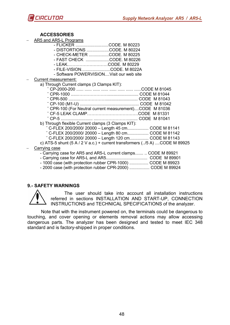

#### **ACCESSORIES**

- − AR5 and AR5-L Programs
	- FLICKER ............................CODE. M 80223
	- DISTORTIONS ...................CODE. M 80224
	- CHECK-METER .................CODE. M 80225
	- FAST CHECK ....................CODE. M 80226 - LEAK..………………………CODE. M 80229
		- FILE-VISION….....................CODE. M 8022A
		- Software POWERVISION....Visit our web site
- − Current measurement:
	- a) Through Current clamps (3 Clamps KIT):

| " CPR-100 (For Neutral current measurement)CODE M 81036                         |                |
|---------------------------------------------------------------------------------|----------------|
|                                                                                 |                |
|                                                                                 |                |
| b) Through flexible Current clamps (3 Clamps KIT):                              |                |
| " C-FLEX 200/2000/ 20000 - Length 45 cm CODE M 81141                            |                |
| " C-FLEX 200/2000/ 20000 - Length 80 cm CODE M 81142                            |                |
| " C-FLEX 200/2000/ 20000 - Length 120 cm CODE M 81143                           |                |
| c) ATS-5 shunt $(5 A / 2 V a.c.)$ + current transformers $(./5 A)$ CODE M 89925 |                |
| Carrying case                                                                   |                |
| - Carrying case for AR5 and AR5-L current clamps  CODE M 89921                  |                |
| - Carrying case for AR5-L and AR5                                               | $CODF$ M 89901 |

- Carrying case for AR5-L and AR5................................... CODE M 89901
- 1000 case (with protection rubber CPR-1000) ................ CODE M 89923
- 2000 case (with protection rubber CPR-2000) ................. CODE M 89924

#### **9.- SAFETY WARNINGS**



The user should take into account all installation instructions referred in sections INSTALLATION AND START-UP, CONNECTION INSTRUCTIONS and TECHNICAL SPECIFICATIONS of the analyzer.

Note that with the instrument powered on, the terminals could be dangerous to touching, and cover opening or elements removal actions may allow accessing dangerous parts. The analyzer has been designed and tested to meet IEC 348 standard and is factory-shipped in proper conditions.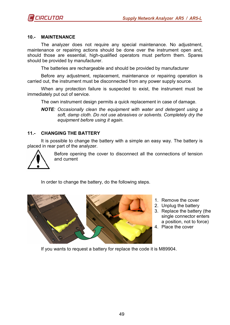#### **10.- MAINTENANCE**

The analyzer does not require any special maintenance. No adjustment, maintenance or repairing actions should be done over the instrument open and, should those are essential, high-qualified operators must perform them. Spares should be provided by manufacturer.

The batteries are rechargeable and should be provided by manufacturer

Before any adjustment, replacement, maintenance or repairing operation is carried out, the instrument must be disconnected from any power supply source.

When any protection failure is suspected to exist, the instrument must be immediately put out of service.

The own instrument design permits a quick replacement in case of damage.

*NOTE: Occasionally clean the equipment with water and detergent using a soft, damp cloth. Do not use abrasives or solvents. Completely dry the equipment before using it again.* 

#### **11.- CHANGING THE BATTERY**

It is possible to change the battery with a simple an easy way. The battery is placed in rear part of the analyzer.



Before opening the cover to disconnect all the connections of tension and current

In order to change the battery, do the following steps.



- 1. Remove the cover
- 2. Unplug the battery
- 3. Replace the battery (the single connector enters a position, not to force)
- 4. Place the cover

If you wants to request a battery for replace the code it is M89904.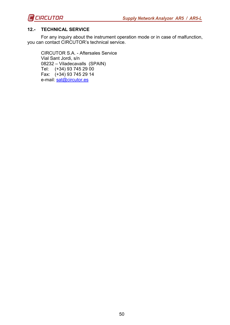

### **12.- TECHNICAL SERVICE**

For any inquiry about the instrument operation mode or in case of malfunction, you can contact CIRCUTOR's technical service.

CIRCUTOR S.A. - Aftersales Service Vial Sant Jordi, s/n 08232 – Viladecavalls (SPAIN) Tel: (+34) 93 745 29 00 Fax: (+34) 93 745 29 14 e-mail: sat@circutor.es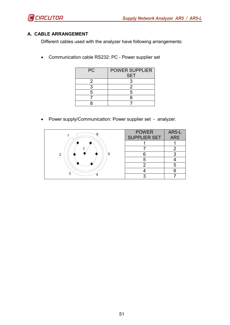

# **A. CABLE ARRANGEMENT**

Different cables used with the analyzer have following arrangements:

• Communication cable RS232: PC - Power supplier set

| <b>PC</b> | <b>POWER SUPPLIER</b><br><b>SET</b> |  |  |  |  |
|-----------|-------------------------------------|--|--|--|--|
|           |                                     |  |  |  |  |
|           | 2                                   |  |  |  |  |
| 5         | 5                                   |  |  |  |  |
|           | Я                                   |  |  |  |  |
|           |                                     |  |  |  |  |

• Power supply/Communication: Power supplier set - analyzer.